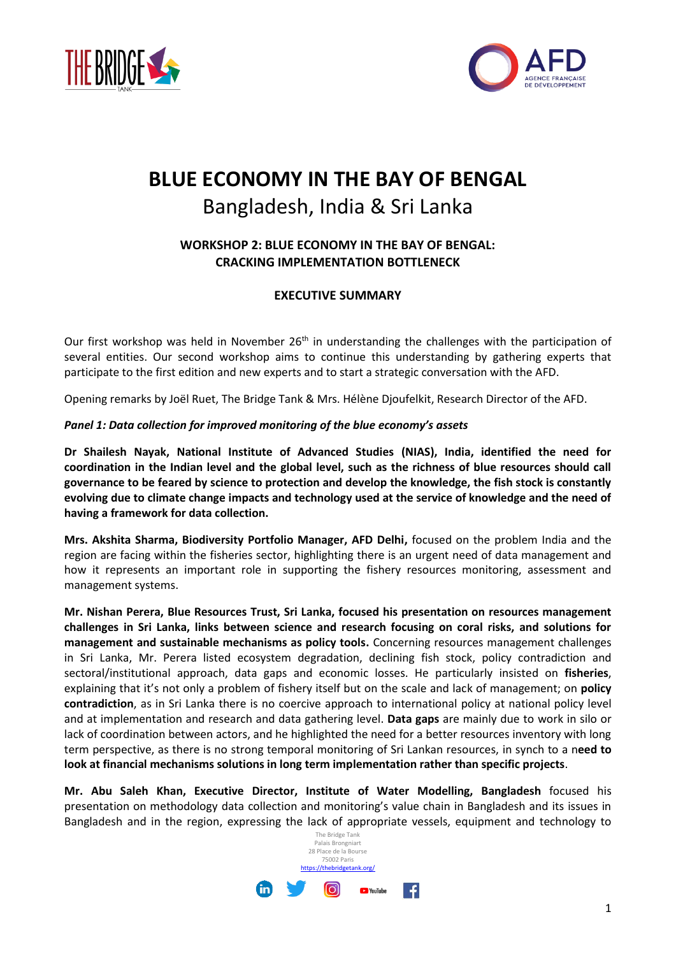



# **BLUE ECONOMY IN THE BAY OF BENGAL** Bangladesh, India & Sri Lanka

## **WORKSHOP 2: BLUE ECONOMY IN THE BAY OF BENGAL: CRACKING IMPLEMENTATION BOTTLENECK**

### **EXECUTIVE SUMMARY**

Our first workshop was held in November 26<sup>th</sup> in understanding the challenges with the participation of several entities. Our second workshop aims to continue this understanding by gathering experts that participate to the first edition and new experts and to start a strategic conversation with the AFD.

Opening remarks by Joël Ruet, The Bridge Tank & Mrs. Hélène Djoufelkit, Research Director of the AFD.

#### *Panel 1: Data collection for improved monitoring of the blue economy's assets*

**Dr Shailesh Nayak, National Institute of Advanced Studies (NIAS), India, identified the need for coordination in the Indian level and the global level, such as the richness of blue resources should call governance to be feared by science to protection and develop the knowledge, the fish stock is constantly evolving due to climate change impacts and technology used at the service of knowledge and the need of having a framework for data collection.**

**Mrs. Akshita Sharma, Biodiversity Portfolio Manager, AFD Delhi,** focused on the problem India and the region are facing within the fisheries sector, highlighting there is an urgent need of data management and how it represents an important role in supporting the fishery resources monitoring, assessment and management systems.

**Mr. Nishan Perera, Blue Resources Trust, Sri Lanka, focused his presentation on resources management challenges in Sri Lanka, links between science and research focusing on coral risks, and solutions for management and sustainable mechanisms as policy tools.** Concerning resources management challenges in Sri Lanka, Mr. Perera listed ecosystem degradation, declining fish stock, policy contradiction and sectoral/institutional approach, data gaps and economic losses. He particularly insisted on **fisheries**, explaining that it's not only a problem of fishery itself but on the scale and lack of management; on **policy contradiction**, as in Sri Lanka there is no coercive approach to international policy at national policy level and at implementation and research and data gathering level. **Data gaps** are mainly due to work in silo or lack of coordination between actors, and he highlighted the need for a better resources inventory with long term perspective, as there is no strong temporal monitoring of Sri Lankan resources, in synch to a n**eed to look at financial mechanisms solutions in long term implementation rather than specific projects**.

**Mr. Abu Saleh Khan, Executive Director, Institute of Water Modelling, Bangladesh** focused his presentation on methodology data collection and monitoring's value chain in Bangladesh and its issues in Bangladesh and in the region, expressing the lack of appropriate vessels, equipment and technology to

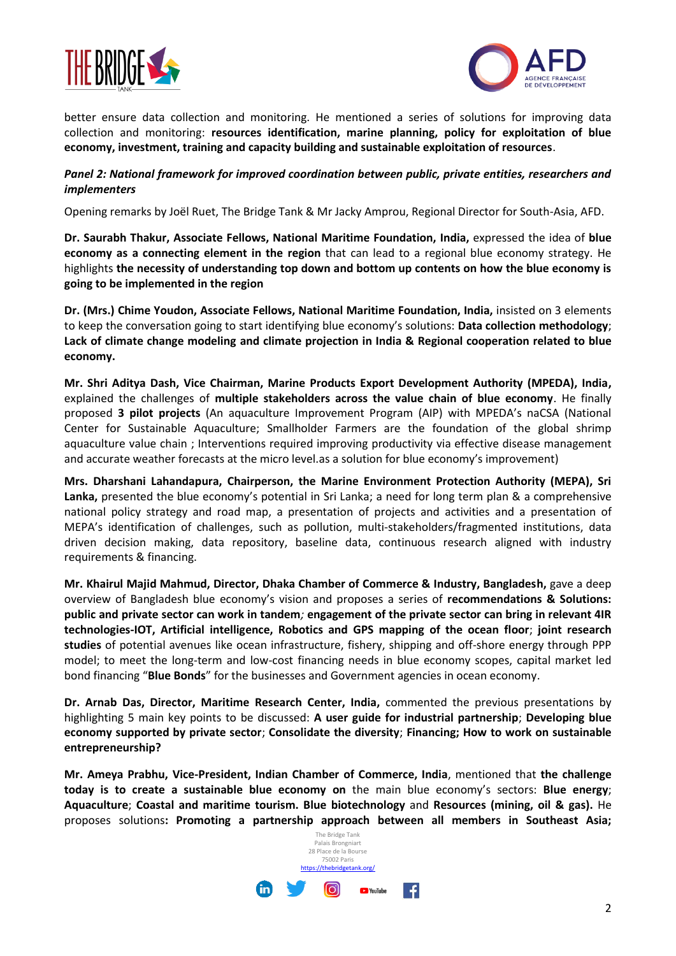



better ensure data collection and monitoring. He mentioned a series of solutions for improving data collection and monitoring: **resources identification, marine planning, policy for exploitation of blue economy, investment, training and capacity building and sustainable exploitation of resources**.

#### *Panel 2: National framework for improved coordination between public, private entities, researchers and implementers*

Opening remarks by Joël Ruet, The Bridge Tank & Mr Jacky Amprou, Regional Director for South-Asia, AFD.

**Dr. Saurabh Thakur, Associate Fellows, National Maritime Foundation, India,** expressed the idea of **blue economy as a connecting element in the region** that can lead to a regional blue economy strategy. He highlights **the necessity of understanding top down and bottom up contents on how the blue economy is going to be implemented in the region**

**Dr. (Mrs.) Chime Youdon, Associate Fellows, National Maritime Foundation, India,** insisted on 3 elements to keep the conversation going to start identifying blue economy's solutions: **Data collection methodology**; **Lack of climate change modeling and climate projection in India & Regional cooperation related to blue economy.**

**Mr. Shri Aditya Dash, Vice Chairman, Marine Products Export Development Authority (MPEDA), India,**  explained the challenges of **multiple stakeholders across the value chain of blue economy**. He finally proposed **3 pilot projects** (An aquaculture Improvement Program (AIP) with MPEDA's naCSA (National Center for Sustainable Aquaculture; Smallholder Farmers are the foundation of the global shrimp aquaculture value chain ; Interventions required improving productivity via effective disease management and accurate weather forecasts at the micro level.as a solution for blue economy's improvement)

**Mrs. Dharshani Lahandapura, Chairperson, the Marine Environment Protection Authority (MEPA), Sri Lanka,** presented the blue economy's potential in Sri Lanka; a need for long term plan & a comprehensive national policy strategy and road map, a presentation of projects and activities and a presentation of MEPA's identification of challenges, such as pollution, multi-stakeholders/fragmented institutions, data driven decision making, data repository, baseline data, continuous research aligned with industry requirements & financing.

**Mr. Khairul Majid Mahmud, Director, Dhaka Chamber of Commerce & Industry, Bangladesh,** gave a deep overview of Bangladesh blue economy's vision and proposes a series of **recommendations & Solutions: public and private sector can work in tandem***;* **engagement of the private sector can bring in relevant 4IR technologies-IOT, Artificial intelligence, Robotics and GPS mapping of the ocean floor**; **joint research studies** of potential avenues like ocean infrastructure, fishery, shipping and off-shore energy through PPP model; to meet the long-term and low-cost financing needs in blue economy scopes, capital market led bond financing "**Blue Bonds**" for the businesses and Government agencies in ocean economy.

**Dr. Arnab Das, Director, Maritime Research Center, India,** commented the previous presentations by highlighting 5 main key points to be discussed: **A user guide for industrial partnership**; **Developing blue economy supported by private sector**; **Consolidate the diversity**; **Financing; How to work on sustainable entrepreneurship?** 

**Mr. Ameya Prabhu, Vice-President, Indian Chamber of Commerce, India**, mentioned that **the challenge today is to create a sustainable blue economy on** the main blue economy's sectors: **Blue energy**; **Aquaculture**; **Coastal and maritime tourism. Blue biotechnology** and **Resources (mining, oil & gas).** He proposes solutions**: Promoting a partnership approach between all members in Southeast Asia;**